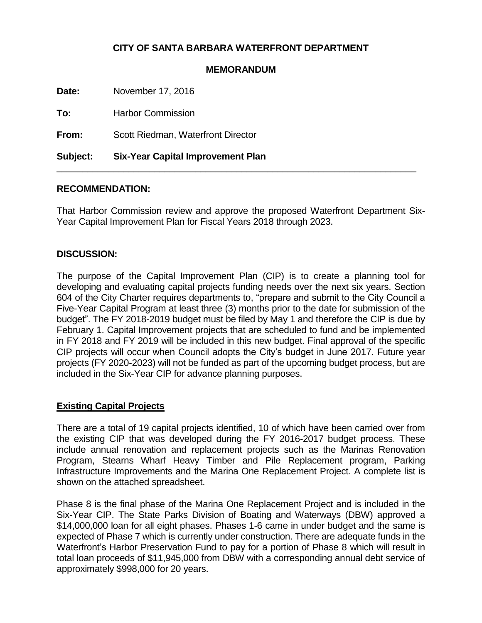# **CITY OF SANTA BARBARA WATERFRONT DEPARTMENT**

#### **MEMORANDUM**

**Date:** November 17, 2016 **To:** Harbor Commission

**From:** Scott Riedman, Waterfront Director

**Subject: Six-Year Capital Improvement Plan**

### **RECOMMENDATION:**

That Harbor Commission review and approve the proposed Waterfront Department Six-Year Capital Improvement Plan for Fiscal Years 2018 through 2023.

\_\_\_\_\_\_\_\_\_\_\_\_\_\_\_\_\_\_\_\_\_\_\_\_\_\_\_\_\_\_\_\_\_\_\_\_\_\_\_\_\_\_\_\_\_\_\_\_\_\_\_\_\_\_\_\_\_\_\_\_\_\_\_\_\_\_\_\_\_\_

### **DISCUSSION:**

The purpose of the Capital Improvement Plan (CIP) is to create a planning tool for developing and evaluating capital projects funding needs over the next six years. Section 604 of the City Charter requires departments to, "prepare and submit to the City Council a Five-Year Capital Program at least three (3) months prior to the date for submission of the budget". The FY 2018-2019 budget must be filed by May 1 and therefore the CIP is due by February 1. Capital Improvement projects that are scheduled to fund and be implemented in FY 2018 and FY 2019 will be included in this new budget. Final approval of the specific CIP projects will occur when Council adopts the City's budget in June 2017. Future year projects (FY 2020-2023) will not be funded as part of the upcoming budget process, but are included in the Six-Year CIP for advance planning purposes.

### **Existing Capital Projects**

There are a total of 19 capital projects identified, 10 of which have been carried over from the existing CIP that was developed during the FY 2016-2017 budget process. These include annual renovation and replacement projects such as the Marinas Renovation Program, Stearns Wharf Heavy Timber and Pile Replacement program, Parking Infrastructure Improvements and the Marina One Replacement Project. A complete list is shown on the attached spreadsheet.

Phase 8 is the final phase of the Marina One Replacement Project and is included in the Six-Year CIP. The State Parks Division of Boating and Waterways (DBW) approved a \$14,000,000 loan for all eight phases. Phases 1-6 came in under budget and the same is expected of Phase 7 which is currently under construction. There are adequate funds in the Waterfront's Harbor Preservation Fund to pay for a portion of Phase 8 which will result in total loan proceeds of \$11,945,000 from DBW with a corresponding annual debt service of approximately \$998,000 for 20 years.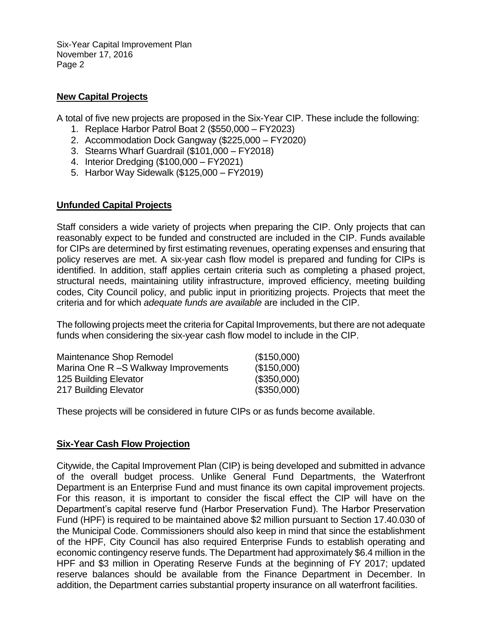Six-Year Capital Improvement Plan November 17, 2016 Page 2

### **New Capital Projects**

A total of five new projects are proposed in the Six-Year CIP. These include the following:

- 1. Replace Harbor Patrol Boat 2 (\$550,000 FY2023)
- 2. Accommodation Dock Gangway (\$225,000 FY2020)
- 3. Stearns Wharf Guardrail (\$101,000 FY2018)
- 4. Interior Dredging (\$100,000 FY2021)
- 5. Harbor Way Sidewalk (\$125,000 FY2019)

## **Unfunded Capital Projects**

Staff considers a wide variety of projects when preparing the CIP. Only projects that can reasonably expect to be funded and constructed are included in the CIP. Funds available for CIPs are determined by first estimating revenues, operating expenses and ensuring that policy reserves are met. A six-year cash flow model is prepared and funding for CIPs is identified. In addition, staff applies certain criteria such as completing a phased project, structural needs, maintaining utility infrastructure, improved efficiency, meeting building codes, City Council policy, and public input in prioritizing projects. Projects that meet the criteria and for which *adequate funds are available* are included in the CIP.

The following projects meet the criteria for Capital Improvements, but there are not adequate funds when considering the six-year cash flow model to include in the CIP.

| Maintenance Shop Remodel             | (\$150,000) |
|--------------------------------------|-------------|
| Marina One R -S Walkway Improvements | (\$150,000) |
| 125 Building Elevator                | (\$350,000) |
| 217 Building Elevator                | (\$350,000) |

These projects will be considered in future CIPs or as funds become available.

## **Six-Year Cash Flow Projection**

Citywide, the Capital Improvement Plan (CIP) is being developed and submitted in advance of the overall budget process. Unlike General Fund Departments, the Waterfront Department is an Enterprise Fund and must finance its own capital improvement projects. For this reason, it is important to consider the fiscal effect the CIP will have on the Department's capital reserve fund (Harbor Preservation Fund). The Harbor Preservation Fund (HPF) is required to be maintained above \$2 million pursuant to Section 17.40.030 of the Municipal Code. Commissioners should also keep in mind that since the establishment of the HPF, City Council has also required Enterprise Funds to establish operating and economic contingency reserve funds. The Department had approximately \$6.4 million in the HPF and \$3 million in Operating Reserve Funds at the beginning of FY 2017; updated reserve balances should be available from the Finance Department in December. In addition, the Department carries substantial property insurance on all waterfront facilities.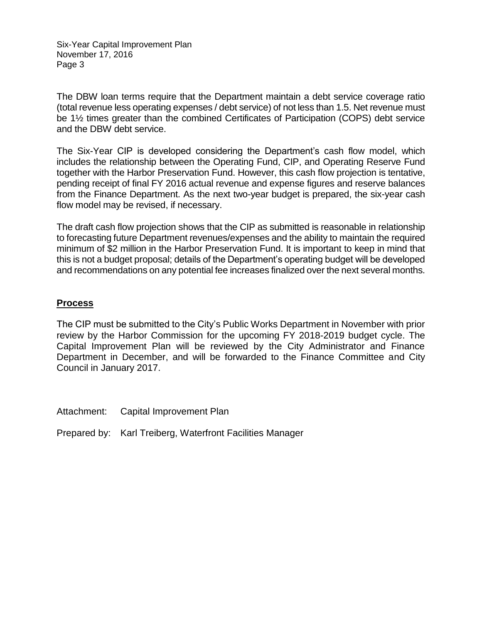Six-Year Capital Improvement Plan November 17, 2016 Page 3

The DBW loan terms require that the Department maintain a debt service coverage ratio (total revenue less operating expenses / debt service) of not less than 1.5. Net revenue must be 1½ times greater than the combined Certificates of Participation (COPS) debt service and the DBW debt service.

The Six-Year CIP is developed considering the Department's cash flow model, which includes the relationship between the Operating Fund, CIP, and Operating Reserve Fund together with the Harbor Preservation Fund. However, this cash flow projection is tentative, pending receipt of final FY 2016 actual revenue and expense figures and reserve balances from the Finance Department. As the next two-year budget is prepared, the six-year cash flow model may be revised, if necessary.

The draft cash flow projection shows that the CIP as submitted is reasonable in relationship to forecasting future Department revenues/expenses and the ability to maintain the required minimum of \$2 million in the Harbor Preservation Fund. It is important to keep in mind that this is not a budget proposal; details of the Department's operating budget will be developed and recommendations on any potential fee increases finalized over the next several months.

## **Process**

The CIP must be submitted to the City's Public Works Department in November with prior review by the Harbor Commission for the upcoming FY 2018-2019 budget cycle. The Capital Improvement Plan will be reviewed by the City Administrator and Finance Department in December, and will be forwarded to the Finance Committee and City Council in January 2017.

Attachment: Capital Improvement Plan

Prepared by: Karl Treiberg, Waterfront Facilities Manager